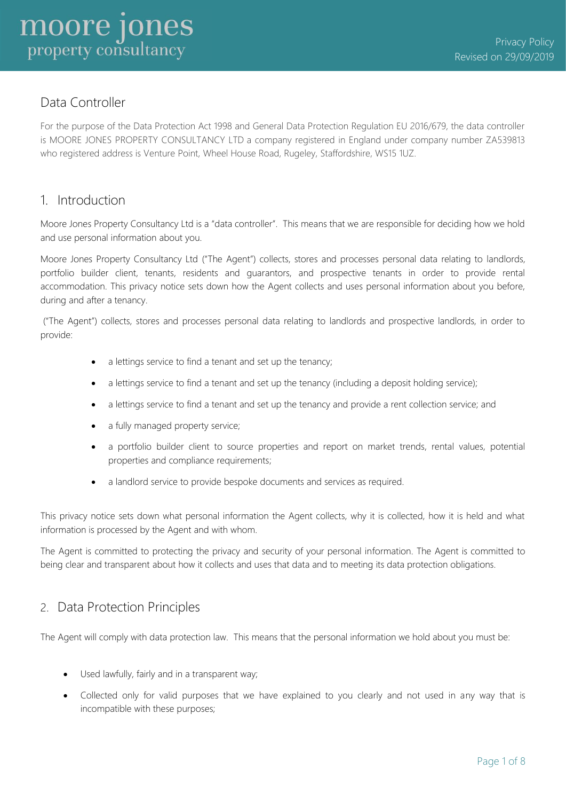## Data Controller

For the purpose of the Data Protection Act 1998 and General Data Protection Regulation EU 2016/679, the data controller is MOORE JONES PROPERTY CONSULTANCY LTD a company registered in England under company number ZA539813 who registered address is Venture Point, Wheel House Road, Rugeley, Staffordshire, WS15 1UZ.

#### 1. Introduction

Moore Jones Property Consultancy Ltd is a "data controller". This means that we are responsible for deciding how we hold and use personal information about you.

Moore Jones Property Consultancy Ltd ("The Agent") collects, stores and processes personal data relating to landlords, portfolio builder client, tenants, residents and guarantors, and prospective tenants in order to provide rental accommodation. This privacy notice sets down how the Agent collects and uses personal information about you before, during and after a tenancy.

("The Agent") collects, stores and processes personal data relating to landlords and prospective landlords, in order to provide:

- a lettings service to find a tenant and set up the tenancy;
- a lettings service to find a tenant and set up the tenancy (including a deposit holding service);
- a lettings service to find a tenant and set up the tenancy and provide a rent collection service; and
- a fully managed property service;
- a portfolio builder client to source properties and report on market trends, rental values, potential properties and compliance requirements;
- a landlord service to provide bespoke documents and services as required.

This privacy notice sets down what personal information the Agent collects, why it is collected, how it is held and what information is processed by the Agent and with whom.

The Agent is committed to protecting the privacy and security of your personal information. The Agent is committed to being clear and transparent about how it collects and uses that data and to meeting its data protection obligations.

#### 2. Data Protection Principles

The Agent will comply with data protection law. This means that the personal information we hold about you must be:

- Used lawfully, fairly and in a transparent way;
- Collected only for valid purposes that we have explained to you clearly and not used in any way that is incompatible with these purposes;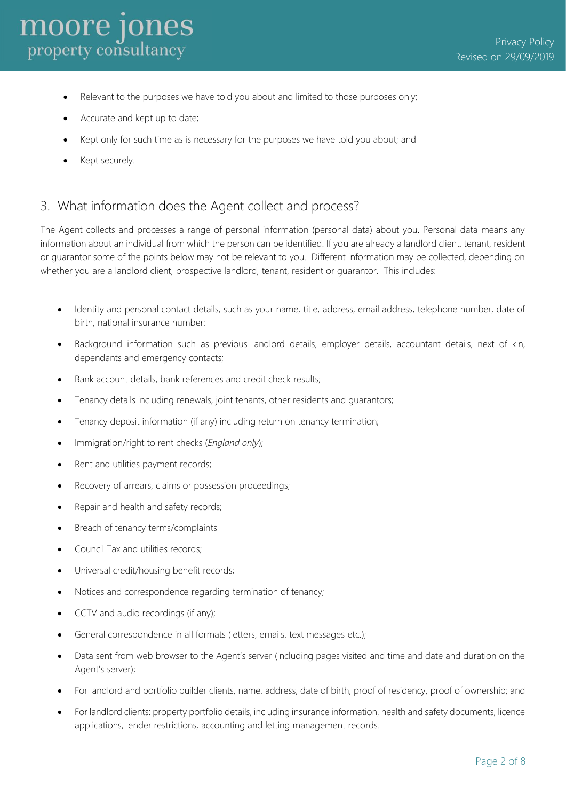# **moore jones**<br>property consultancy

- Relevant to the purposes we have told you about and limited to those purposes only;
- Accurate and kept up to date;
- Kept only for such time as is necessary for the purposes we have told you about; and
- Kept securely.

# 3. What information does the Agent collect and process?

The Agent collects and processes a range of personal information (personal data) about you. Personal data means any information about an individual from which the person can be identified. If you are already a landlord client, tenant, resident or guarantor some of the points below may not be relevant to you. Different information may be collected, depending on whether you are a landlord client, prospective landlord, tenant, resident or quarantor. This includes:

- Identity and personal contact details, such as your name, title, address, email address, telephone number, date of birth, national insurance number;
- Background information such as previous landlord details, employer details, accountant details, next of kin, dependants and emergency contacts;
- Bank account details, bank references and credit check results;
- Tenancy details including renewals, joint tenants, other residents and guarantors;
- Tenancy deposit information (if any) including return on tenancy termination;
- Immigration/right to rent checks (*England only*);
- Rent and utilities payment records;
- Recovery of arrears, claims or possession proceedings;
- Repair and health and safety records;
- Breach of tenancy terms/complaints
- Council Tax and utilities records;
- Universal credit/housing benefit records;
- Notices and correspondence regarding termination of tenancy;
- CCTV and audio recordings (if any);
- General correspondence in all formats (letters, emails, text messages etc.);
- Data sent from web browser to the Agent's server (including pages visited and time and date and duration on the Agent's server);
- For landlord and portfolio builder clients, name, address, date of birth, proof of residency, proof of ownership; and
- For landlord clients: property portfolio details, including insurance information, health and safety documents, licence applications, lender restrictions, accounting and letting management records.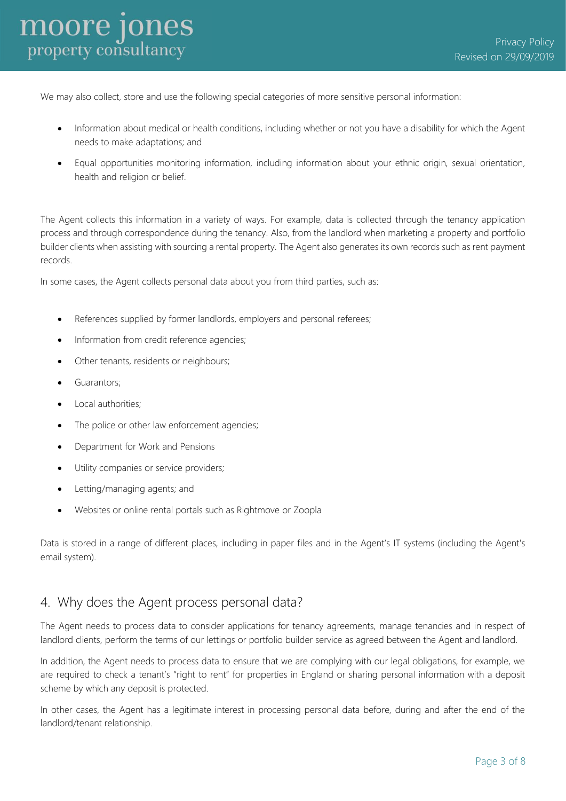We may also collect, store and use the following special categories of more sensitive personal information:

- Information about medical or health conditions, including whether or not you have a disability for which the Agent needs to make adaptations; and
- Equal opportunities monitoring information, including information about your ethnic origin, sexual orientation, health and religion or belief.

The Agent collects this information in a variety of ways. For example, data is collected through the tenancy application process and through correspondence during the tenancy. Also, from the landlord when marketing a property and portfolio builder clients when assisting with sourcing a rental property. The Agent also generates its own records such as rent payment records.

In some cases, the Agent collects personal data about you from third parties, such as:

- References supplied by former landlords, employers and personal referees;
- Information from credit reference agencies;
- Other tenants, residents or neighbours;
- Guarantors:
- Local authorities;
- The police or other law enforcement agencies;
- Department for Work and Pensions
- Utility companies or service providers;
- Letting/managing agents; and
- Websites or online rental portals such as Rightmove or Zoopla

Data is stored in a range of different places, including in paper files and in the Agent's IT systems (including the Agent's email system).

#### 4. Why does the Agent process personal data?

The Agent needs to process data to consider applications for tenancy agreements, manage tenancies and in respect of landlord clients, perform the terms of our lettings or portfolio builder service as agreed between the Agent and landlord.

In addition, the Agent needs to process data to ensure that we are complying with our legal obligations, for example, we are required to check a tenant's "right to rent" for properties in England or sharing personal information with a deposit scheme by which any deposit is protected.

In other cases, the Agent has a legitimate interest in processing personal data before, during and after the end of the landlord/tenant relationship.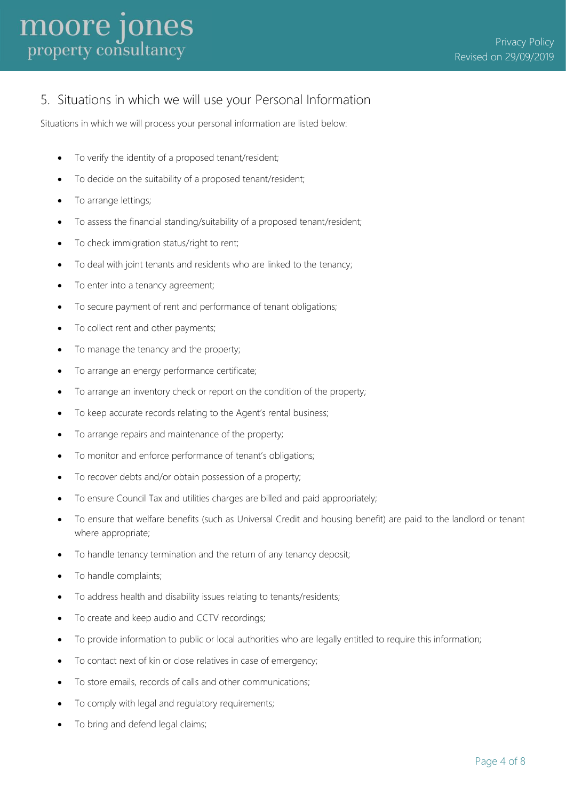## 5. Situations in which we will use your Personal Information

Situations in which we will process your personal information are listed below:

- To verify the identity of a proposed tenant/resident;
- To decide on the suitability of a proposed tenant/resident;
- To arrange lettings;
- To assess the financial standing/suitability of a proposed tenant/resident;
- To check immigration status/right to rent;
- To deal with joint tenants and residents who are linked to the tenancy;
- To enter into a tenancy agreement;
- To secure payment of rent and performance of tenant obligations;
- To collect rent and other payments;
- To manage the tenancy and the property;
- To arrange an energy performance certificate;
- To arrange an inventory check or report on the condition of the property;
- To keep accurate records relating to the Agent's rental business;
- To arrange repairs and maintenance of the property;
- To monitor and enforce performance of tenant's obligations;
- To recover debts and/or obtain possession of a property;
- To ensure Council Tax and utilities charges are billed and paid appropriately;
- To ensure that welfare benefits (such as Universal Credit and housing benefit) are paid to the landlord or tenant where appropriate;
- To handle tenancy termination and the return of any tenancy deposit;
- To handle complaints;
- To address health and disability issues relating to tenants/residents;
- To create and keep audio and CCTV recordings;
- To provide information to public or local authorities who are legally entitled to require this information;
- To contact next of kin or close relatives in case of emergency;
- To store emails, records of calls and other communications;
- To comply with legal and regulatory requirements;
- To bring and defend legal claims;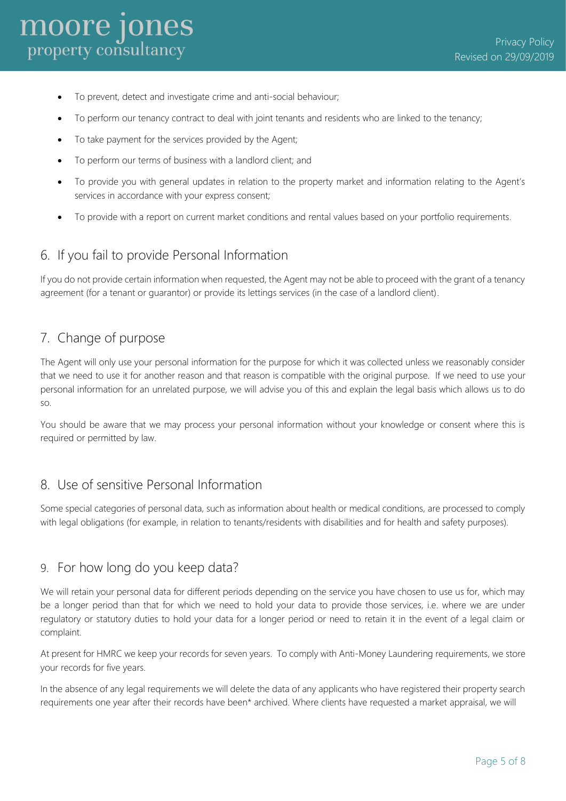- To prevent, detect and investigate crime and anti-social behaviour;
- To perform our tenancy contract to deal with joint tenants and residents who are linked to the tenancy;
- To take payment for the services provided by the Agent;
- To perform our terms of business with a landlord client; and
- To provide you with general updates in relation to the property market and information relating to the Agent's services in accordance with your express consent;
- To provide with a report on current market conditions and rental values based on your portfolio requirements.

# 6. If you fail to provide Personal Information

If you do not provide certain information when requested, the Agent may not be able to proceed with the grant of a tenancy agreement (for a tenant or guarantor) or provide its lettings services (in the case of a landlord client).

## 7. Change of purpose

The Agent will only use your personal information for the purpose for which it was collected unless we reasonably consider that we need to use it for another reason and that reason is compatible with the original purpose. If we need to use your personal information for an unrelated purpose, we will advise you of this and explain the legal basis which allows us to do so.

You should be aware that we may process your personal information without your knowledge or consent where this is required or permitted by law.

### 8. Use of sensitive Personal Information

Some special categories of personal data, such as information about health or medical conditions, are processed to comply with legal obligations (for example, in relation to tenants/residents with disabilities and for health and safety purposes).

### 9. For how long do you keep data?

We will retain your personal data for different periods depending on the service you have chosen to use us for, which may be a longer period than that for which we need to hold your data to provide those services, i.e. where we are under regulatory or statutory duties to hold your data for a longer period or need to retain it in the event of a legal claim or complaint.

At present for HMRC we keep your records for seven years. To comply with Anti-Money Laundering requirements, we store your records for five years.

In the absence of any legal requirements we will delete the data of any applicants who have registered their property search requirements one year after their records have been\* archived. Where clients have requested a market appraisal, we will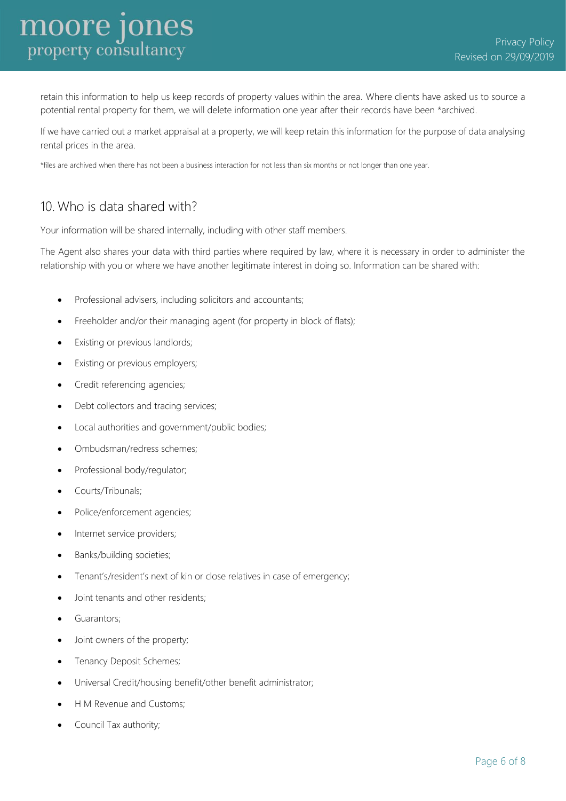# **moore jones**<br>property consultancy

retain this information to help us keep records of property values within the area. Where clients have asked us to source a potential rental property for them, we will delete information one year after their records have been \*archived.

If we have carried out a market appraisal at a property, we will keep retain this information for the purpose of data analysing rental prices in the area.

\*files are archived when there has not been a business interaction for not less than six months or not longer than one year.

## 10. Who is data shared with?

Your information will be shared internally, including with other staff members.

The Agent also shares your data with third parties where required by law, where it is necessary in order to administer the relationship with you or where we have another legitimate interest in doing so. Information can be shared with:

- Professional advisers, including solicitors and accountants;
- Freeholder and/or their managing agent (for property in block of flats);
- Existing or previous landlords;
- Existing or previous employers;
- Credit referencing agencies;
- Debt collectors and tracing services;
- Local authorities and government/public bodies;
- Ombudsman/redress schemes;
- Professional body/regulator;
- Courts/Tribunals;
- Police/enforcement agencies;
- Internet service providers;
- Banks/building societies;
- Tenant's/resident's next of kin or close relatives in case of emergency;
- Joint tenants and other residents;
- Guarantors;
- Joint owners of the property;
- Tenancy Deposit Schemes;
- Universal Credit/housing benefit/other benefit administrator;
- H M Revenue and Customs;
- Council Tax authority;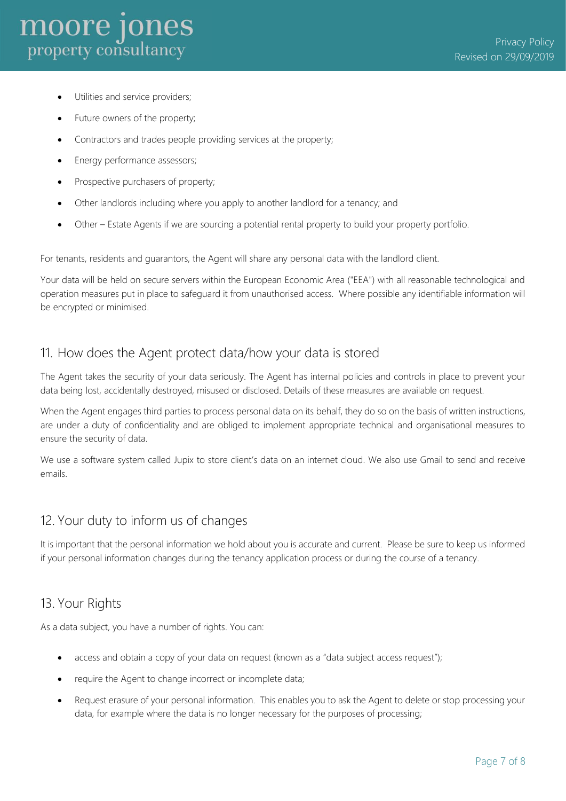# **moore jones**<br>property consultancy

- Utilities and service providers;
- Future owners of the property;
- Contractors and trades people providing services at the property;
- Energy performance assessors;
- Prospective purchasers of property;
- Other landlords including where you apply to another landlord for a tenancy; and
- Other Estate Agents if we are sourcing a potential rental property to build your property portfolio.

For tenants, residents and guarantors, the Agent will share any personal data with the landlord client.

Your data will be held on secure servers within the European Economic Area ("EEA") with all reasonable technological and operation measures put in place to safeguard it from unauthorised access. Where possible any identifiable information will be encrypted or minimised.

### 11. How does the Agent protect data/how your data is stored

The Agent takes the security of your data seriously. The Agent has internal policies and controls in place to prevent your data being lost, accidentally destroyed, misused or disclosed. Details of these measures are available on request.

When the Agent engages third parties to process personal data on its behalf, they do so on the basis of written instructions, are under a duty of confidentiality and are obliged to implement appropriate technical and organisational measures to ensure the security of data.

We use a software system called Jupix to store client's data on an internet cloud. We also use Gmail to send and receive emails.

### 12. Your duty to inform us of changes

It is important that the personal information we hold about you is accurate and current. Please be sure to keep us informed if your personal information changes during the tenancy application process or during the course of a tenancy.

### 13. Your Rights

As a data subject, you have a number of rights. You can:

- access and obtain a copy of your data on request (known as a "data subject access request");
- require the Agent to change incorrect or incomplete data;
- Request erasure of your personal information. This enables you to ask the Agent to delete or stop processing your data, for example where the data is no longer necessary for the purposes of processing;